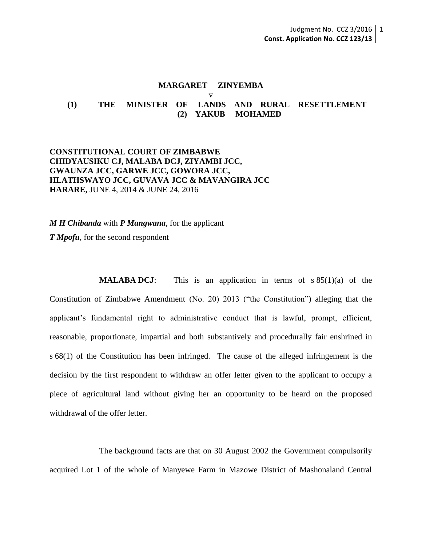### **MARGARET ZINYEMBA** v **(1) THE MINISTER OF LANDS AND RURAL RESETTLEMENT (2) YAKUB MOHAMED**

# **CONSTITUTIONAL COURT OF ZIMBABWE CHIDYAUSIKU CJ, MALABA DCJ, ZIYAMBI JCC, GWAUNZA JCC, GARWE JCC, GOWORA JCC, HLATHSWAYO JCC, GUVAVA JCC & MAVANGIRA JCC HARARE,** JUNE 4, 2014 & JUNE 24, 2016

*M H Chibanda* with *P Mangwana*, for the applicant

*T Mpofu*, for the second respondent

**MALABA DCJ:** This is an application in terms of s 85(1)(a) of the Constitution of Zimbabwe Amendment (No. 20) 2013 ("the Constitution") alleging that the applicant's fundamental right to administrative conduct that is lawful, prompt, efficient, reasonable, proportionate, impartial and both substantively and procedurally fair enshrined in s 68(1) of the Constitution has been infringed. The cause of the alleged infringement is the decision by the first respondent to withdraw an offer letter given to the applicant to occupy a piece of agricultural land without giving her an opportunity to be heard on the proposed withdrawal of the offer letter.

The background facts are that on 30 August 2002 the Government compulsorily acquired Lot 1 of the whole of Manyewe Farm in Mazowe District of Mashonaland Central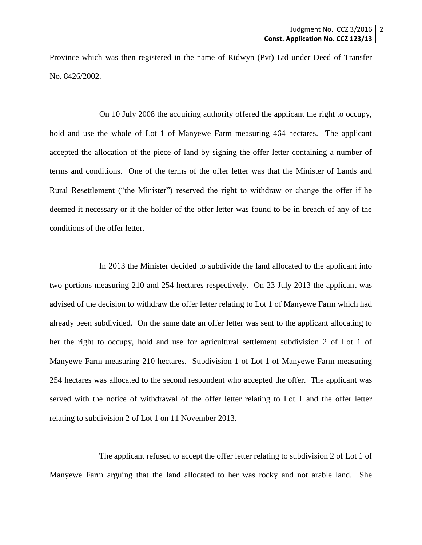Province which was then registered in the name of Ridwyn (Pvt) Ltd under Deed of Transfer No. 8426/2002.

On 10 July 2008 the acquiring authority offered the applicant the right to occupy, hold and use the whole of Lot 1 of Manyewe Farm measuring 464 hectares. The applicant accepted the allocation of the piece of land by signing the offer letter containing a number of terms and conditions. One of the terms of the offer letter was that the Minister of Lands and Rural Resettlement ("the Minister") reserved the right to withdraw or change the offer if he deemed it necessary or if the holder of the offer letter was found to be in breach of any of the conditions of the offer letter.

In 2013 the Minister decided to subdivide the land allocated to the applicant into two portions measuring 210 and 254 hectares respectively. On 23 July 2013 the applicant was advised of the decision to withdraw the offer letter relating to Lot 1 of Manyewe Farm which had already been subdivided. On the same date an offer letter was sent to the applicant allocating to her the right to occupy, hold and use for agricultural settlement subdivision 2 of Lot 1 of Manyewe Farm measuring 210 hectares. Subdivision 1 of Lot 1 of Manyewe Farm measuring 254 hectares was allocated to the second respondent who accepted the offer. The applicant was served with the notice of withdrawal of the offer letter relating to Lot 1 and the offer letter relating to subdivision 2 of Lot 1 on 11 November 2013.

The applicant refused to accept the offer letter relating to subdivision 2 of Lot 1 of Manyewe Farm arguing that the land allocated to her was rocky and not arable land. She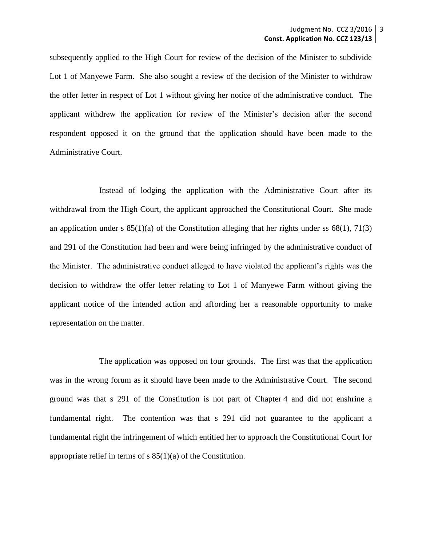subsequently applied to the High Court for review of the decision of the Minister to subdivide Lot 1 of Manyewe Farm. She also sought a review of the decision of the Minister to withdraw the offer letter in respect of Lot 1 without giving her notice of the administrative conduct. The applicant withdrew the application for review of the Minister's decision after the second respondent opposed it on the ground that the application should have been made to the Administrative Court.

Instead of lodging the application with the Administrative Court after its withdrawal from the High Court, the applicant approached the Constitutional Court. She made an application under s  $85(1)(a)$  of the Constitution alleging that her rights under ss  $68(1)$ ,  $71(3)$ and 291 of the Constitution had been and were being infringed by the administrative conduct of the Minister. The administrative conduct alleged to have violated the applicant's rights was the decision to withdraw the offer letter relating to Lot 1 of Manyewe Farm without giving the applicant notice of the intended action and affording her a reasonable opportunity to make representation on the matter.

The application was opposed on four grounds. The first was that the application was in the wrong forum as it should have been made to the Administrative Court. The second ground was that s 291 of the Constitution is not part of Chapter 4 and did not enshrine a fundamental right. The contention was that s 291 did not guarantee to the applicant a fundamental right the infringement of which entitled her to approach the Constitutional Court for appropriate relief in terms of s 85(1)(a) of the Constitution.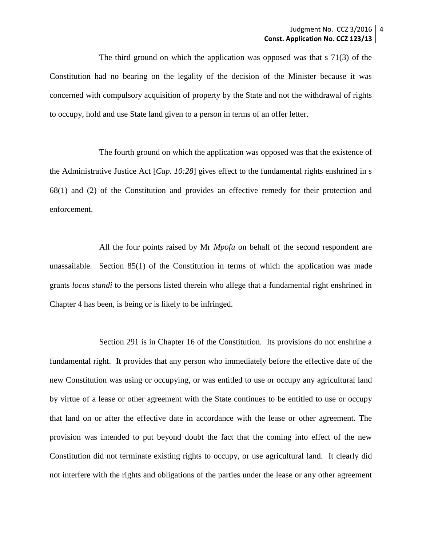The third ground on which the application was opposed was that s 71(3) of the Constitution had no bearing on the legality of the decision of the Minister because it was concerned with compulsory acquisition of property by the State and not the withdrawal of rights to occupy, hold and use State land given to a person in terms of an offer letter.

The fourth ground on which the application was opposed was that the existence of the Administrative Justice Act [*Cap. 10:28*] gives effect to the fundamental rights enshrined in s 68(1) and (2) of the Constitution and provides an effective remedy for their protection and enforcement.

All the four points raised by Mr *Mpofu* on behalf of the second respondent are unassailable. Section 85(1) of the Constitution in terms of which the application was made grants *locus standi* to the persons listed therein who allege that a fundamental right enshrined in Chapter 4 has been, is being or is likely to be infringed.

Section 291 is in Chapter 16 of the Constitution. Its provisions do not enshrine a fundamental right. It provides that any person who immediately before the effective date of the new Constitution was using or occupying, or was entitled to use or occupy any agricultural land by virtue of a lease or other agreement with the State continues to be entitled to use or occupy that land on or after the effective date in accordance with the lease or other agreement. The provision was intended to put beyond doubt the fact that the coming into effect of the new Constitution did not terminate existing rights to occupy, or use agricultural land. It clearly did not interfere with the rights and obligations of the parties under the lease or any other agreement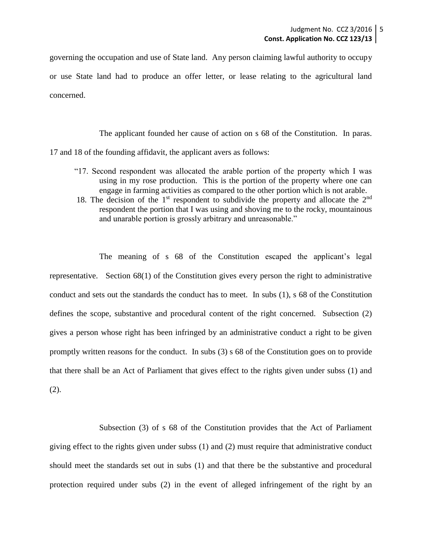governing the occupation and use of State land. Any person claiming lawful authority to occupy or use State land had to produce an offer letter, or lease relating to the agricultural land concerned.

The applicant founded her cause of action on s 68 of the Constitution. In paras.

17 and 18 of the founding affidavit, the applicant avers as follows:

- "17. Second respondent was allocated the arable portion of the property which I was using in my rose production. This is the portion of the property where one can engage in farming activities as compared to the other portion which is not arable.
- 18. The decision of the  $1<sup>st</sup>$  respondent to subdivide the property and allocate the  $2<sup>nd</sup>$ respondent the portion that I was using and shoving me to the rocky, mountainous and unarable portion is grossly arbitrary and unreasonable."

The meaning of s 68 of the Constitution escaped the applicant's legal representative. Section 68(1) of the Constitution gives every person the right to administrative conduct and sets out the standards the conduct has to meet. In subs (1), s 68 of the Constitution defines the scope, substantive and procedural content of the right concerned. Subsection (2) gives a person whose right has been infringed by an administrative conduct a right to be given promptly written reasons for the conduct. In subs (3) s 68 of the Constitution goes on to provide that there shall be an Act of Parliament that gives effect to the rights given under subss (1) and (2).

Subsection (3) of s 68 of the Constitution provides that the Act of Parliament giving effect to the rights given under subss (1) and (2) must require that administrative conduct should meet the standards set out in subs (1) and that there be the substantive and procedural protection required under subs (2) in the event of alleged infringement of the right by an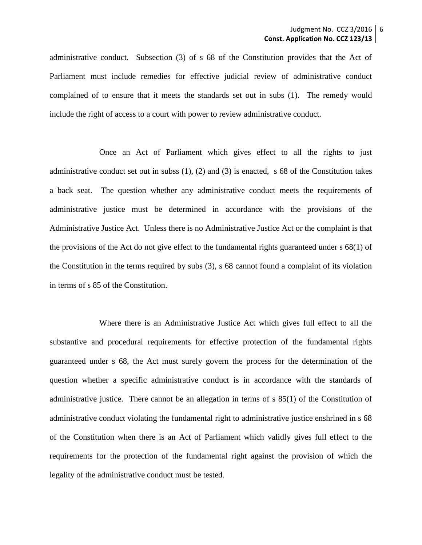administrative conduct. Subsection (3) of s 68 of the Constitution provides that the Act of Parliament must include remedies for effective judicial review of administrative conduct complained of to ensure that it meets the standards set out in subs (1). The remedy would include the right of access to a court with power to review administrative conduct.

Once an Act of Parliament which gives effect to all the rights to just administrative conduct set out in subss (1), (2) and (3) is enacted, s 68 of the Constitution takes a back seat. The question whether any administrative conduct meets the requirements of administrative justice must be determined in accordance with the provisions of the Administrative Justice Act. Unless there is no Administrative Justice Act or the complaint is that the provisions of the Act do not give effect to the fundamental rights guaranteed under s 68(1) of the Constitution in the terms required by subs (3), s 68 cannot found a complaint of its violation in terms of s 85 of the Constitution.

Where there is an Administrative Justice Act which gives full effect to all the substantive and procedural requirements for effective protection of the fundamental rights guaranteed under s 68, the Act must surely govern the process for the determination of the question whether a specific administrative conduct is in accordance with the standards of administrative justice. There cannot be an allegation in terms of s 85(1) of the Constitution of administrative conduct violating the fundamental right to administrative justice enshrined in s 68 of the Constitution when there is an Act of Parliament which validly gives full effect to the requirements for the protection of the fundamental right against the provision of which the legality of the administrative conduct must be tested.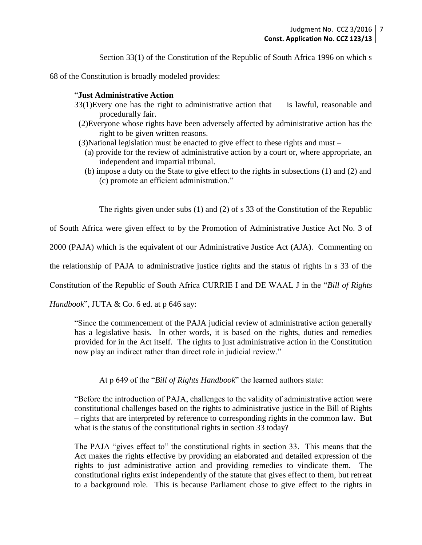Section 33(1) of the Constitution of the Republic of South Africa 1996 on which s

68 of the Constitution is broadly modeled provides:

## "**Just Administrative Action**

- 33(1)Every one has the right to administrative action that is lawful, reasonable and procedurally fair.
- (2)Everyone whose rights have been adversely affected by administrative action has the right to be given written reasons.
- (3)National legislation must be enacted to give effect to these rights and must
	- (a) provide for the review of administrative action by a court or, where appropriate, an independent and impartial tribunal.
	- (b) impose a duty on the State to give effect to the rights in subsections (1) and (2) and (c) promote an efficient administration."

The rights given under subs (1) and (2) of s 33 of the Constitution of the Republic

of South Africa were given effect to by the Promotion of Administrative Justice Act No. 3 of

2000 (PAJA) which is the equivalent of our Administrative Justice Act (AJA). Commenting on

the relationship of PAJA to administrative justice rights and the status of rights in s 33 of the

Constitution of the Republic of South Africa CURRIE I and DE WAAL J in the "*Bill of Rights* 

*Handbook*", JUTA & Co. 6 ed. at p 646 say:

"Since the commencement of the PAJA judicial review of administrative action generally has a legislative basis. In other words, it is based on the rights, duties and remedies provided for in the Act itself. The rights to just administrative action in the Constitution now play an indirect rather than direct role in judicial review."

At p 649 of the "*Bill of Rights Handbook*" the learned authors state:

"Before the introduction of PAJA, challenges to the validity of administrative action were constitutional challenges based on the rights to administrative justice in the Bill of Rights – rights that are interpreted by reference to corresponding rights in the common law. But what is the status of the constitutional rights in section 33 today?

The PAJA "gives effect to" the constitutional rights in section 33. This means that the Act makes the rights effective by providing an elaborated and detailed expression of the rights to just administrative action and providing remedies to vindicate them. The constitutional rights exist independently of the statute that gives effect to them, but retreat to a background role. This is because Parliament chose to give effect to the rights in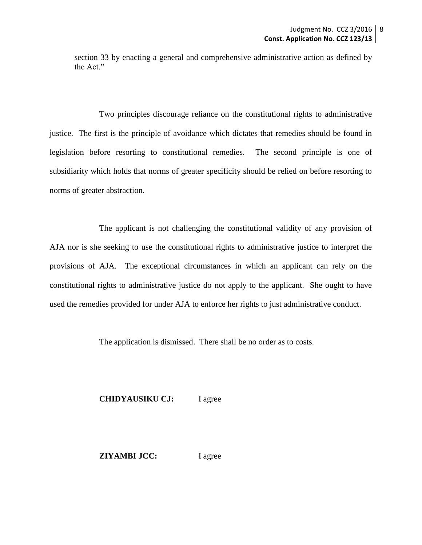section 33 by enacting a general and comprehensive administrative action as defined by the Act."

Two principles discourage reliance on the constitutional rights to administrative justice. The first is the principle of avoidance which dictates that remedies should be found in legislation before resorting to constitutional remedies. The second principle is one of subsidiarity which holds that norms of greater specificity should be relied on before resorting to norms of greater abstraction.

The applicant is not challenging the constitutional validity of any provision of AJA nor is she seeking to use the constitutional rights to administrative justice to interpret the provisions of AJA. The exceptional circumstances in which an applicant can rely on the constitutional rights to administrative justice do not apply to the applicant. She ought to have used the remedies provided for under AJA to enforce her rights to just administrative conduct.

The application is dismissed. There shall be no order as to costs.

#### **CHIDYAUSIKU CJ:** I agree

#### **ZIYAMBI JCC:** I agree